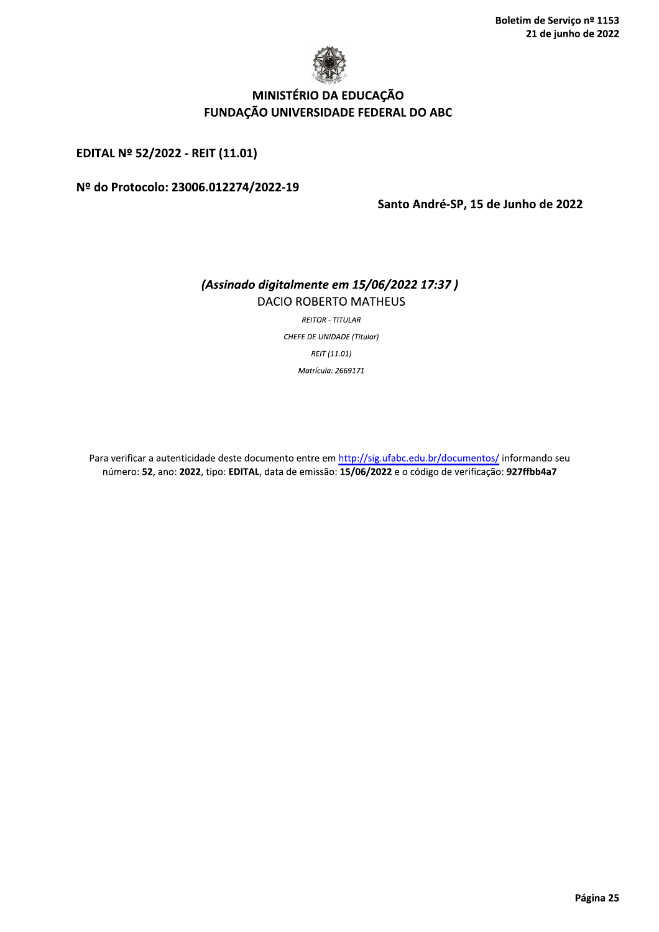

# MINISTÉRIO DA EDUCAÇÃO FUNDAÇÃO UNIVERSIDADE FEDERAL DO ABC

EDITAL Nº 52/2022 - REIT (11.01)

#### Nº do Protocolo: 23006.012274/2022-19

Santo André-SP, 15 de Junho de 2022

### (Assinado digitalmente em 15/06/2022 17:37) **DACIO ROBERTO MATHEUS**

**REITOR - TITULAR CHEFE DE UNIDADE (Titular)** REIT (11.01) Matrícula: 2669171

Para verificar a autenticidade deste documento entre em http://sig.ufabc.edu.br/documentos/ informando seu número: 52, ano: 2022, tipo: EDITAL, data de emissão: 15/06/2022 e o código de verificação: 927ffbb4a7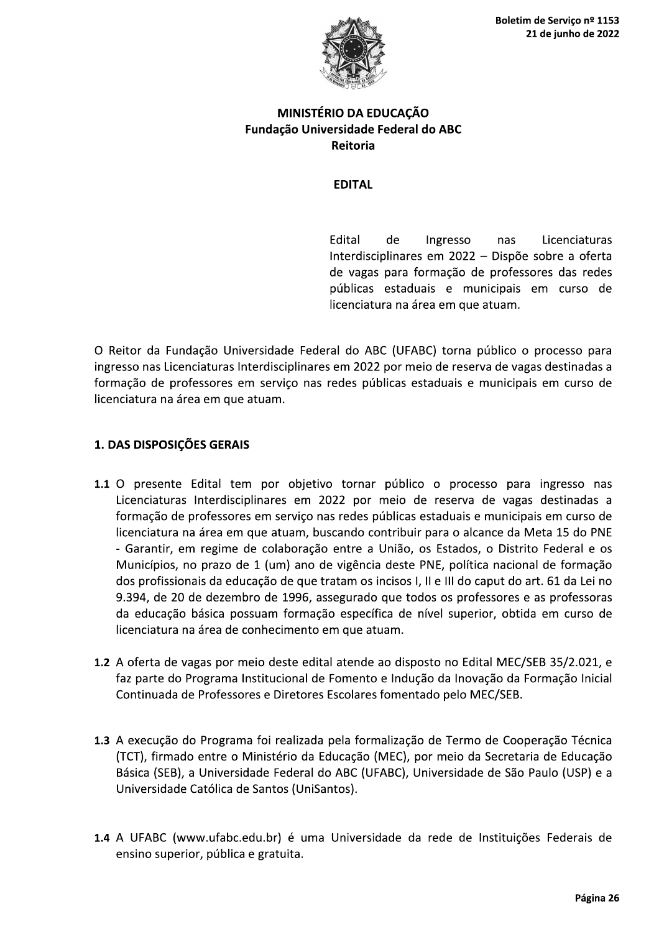

## MINISTÉRIO DA EDUCAÇÃO Fundação Universidade Federal do ABC Reitoria

### **EDITAL**

**Fdital** de Ingresso nas Licenciaturas Interdisciplinares em 2022 - Dispõe sobre a oferta de vagas para formação de professores das redes públicas estaduais e municipais em curso de licenciatura na área em que atuam.

O Reitor da Fundação Universidade Federal do ABC (UFABC) torna público o processo para ingresso nas Licenciaturas Interdisciplinares em 2022 por meio de reserva de vagas destinadas a formação de professores em serviço nas redes públicas estaduais e municipais em curso de licenciatura na área em que atuam.

# 1. DAS DISPOSIÇÕES GERAIS

- 1.1 O presente Edital tem por objetivo tornar público o processo para ingresso nas Licenciaturas Interdisciplinares em 2022 por meio de reserva de vagas destinadas a formação de professores em serviço nas redes públicas estaduais e municipais em curso de licenciatura na área em que atuam, buscando contribuir para o alcance da Meta 15 do PNE - Garantir, em regime de colaboração entre a União, os Estados, o Distrito Federal e os Municípios, no prazo de 1 (um) ano de vigência deste PNE, política nacional de formação dos profissionais da educação de que tratam os incisos I, II e III do caput do art. 61 da Lei no 9.394, de 20 de dezembro de 1996, assegurado que todos os professores e as professoras da educação básica possuam formação específica de nível superior, obtida em curso de licenciatura na área de conhecimento em que atuam.
- 1.2 A oferta de vagas por meio deste edital atende ao disposto no Edital MEC/SEB 35/2.021, e faz parte do Programa Institucional de Fomento e Indução da Inovação da Formação Inicial Continuada de Professores e Diretores Escolares fomentado pelo MEC/SEB.
- 1.3 A execução do Programa foi realizada pela formalização de Termo de Cooperação Técnica (TCT), firmado entre o Ministério da Educação (MEC), por meio da Secretaria de Educação Básica (SEB), a Universidade Federal do ABC (UFABC), Universidade de São Paulo (USP) e a Universidade Católica de Santos (UniSantos).
- 1.4 A UFABC (www.ufabc.edu.br) é uma Universidade da rede de Instituições Federais de ensino superior, pública e gratuita.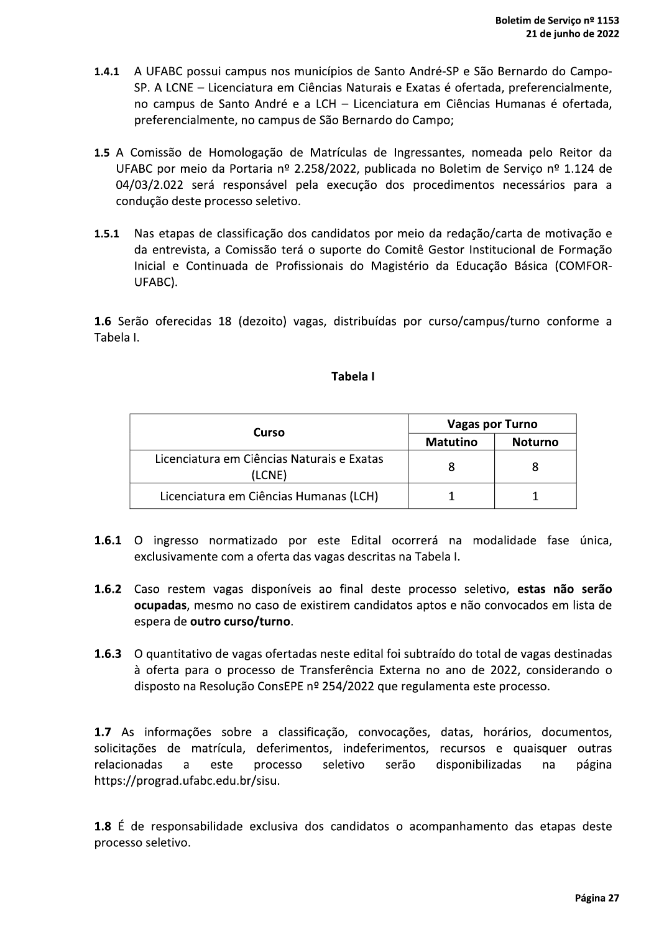- 1.4.1 A UFABC possui campus nos municípios de Santo André-SP e São Bernardo do Campo-SP. A LCNE – Licenciatura em Ciências Naturais e Exatas é ofertada, preferencialmente, no campus de Santo André e a LCH - Licenciatura em Ciências Humanas é ofertada, preferencialmente, no campus de São Bernardo do Campo;
- 1.5 A Comissão de Homologação de Matrículas de Ingressantes, nomeada pelo Reitor da UFABC por meio da Portaria nº 2.258/2022, publicada no Boletim de Serviço nº 1.124 de 04/03/2.022 será responsável pela execução dos procedimentos necessários para a condução deste processo seletivo.
- 1.5.1 Nas etapas de classificação dos candidatos por meio da redação/carta de motivação e da entrevista, a Comissão terá o suporte do Comitê Gestor Institucional de Formação Inicial e Continuada de Profissionais do Magistério da Educação Básica (COMFOR-UFABC).

1.6 Serão oferecidas 18 (dezoito) vagas, distribuídas por curso/campus/turno conforme a Tabela I.

### Tabela I

| Curso                                                | <b>Vagas por Turno</b> |         |
|------------------------------------------------------|------------------------|---------|
|                                                      | Matutino               | Noturno |
| Licenciatura em Ciências Naturais e Exatas<br>(LCNE) |                        |         |
| Licenciatura em Ciências Humanas (LCH)               |                        |         |

- 1.6.1 O ingresso normatizado por este Edital ocorrerá na modalidade fase única, exclusivamente com a oferta das vagas descritas na Tabela I.
- 1.6.2 Caso restem vagas disponíveis ao final deste processo seletivo, estas não serão ocupadas, mesmo no caso de existirem candidatos aptos e não convocados em lista de espera de outro curso/turno.
- 1.6.3 O quantitativo de vagas ofertadas neste edital foi subtraído do total de vagas destinadas à oferta para o processo de Transferência Externa no ano de 2022, considerando o disposto na Resolução ConsEPE nº 254/2022 que regulamenta este processo.

1.7 As informações sobre a classificação, convocações, datas, horários, documentos, solicitações de matrícula, deferimentos, indeferimentos, recursos e quaisquer outras relacionadas este processo seletivo serão disponibilizadas a na página https://prograd.ufabc.edu.br/sisu.

1.8 É de responsabilidade exclusiva dos candidatos o acompanhamento das etapas deste processo seletivo.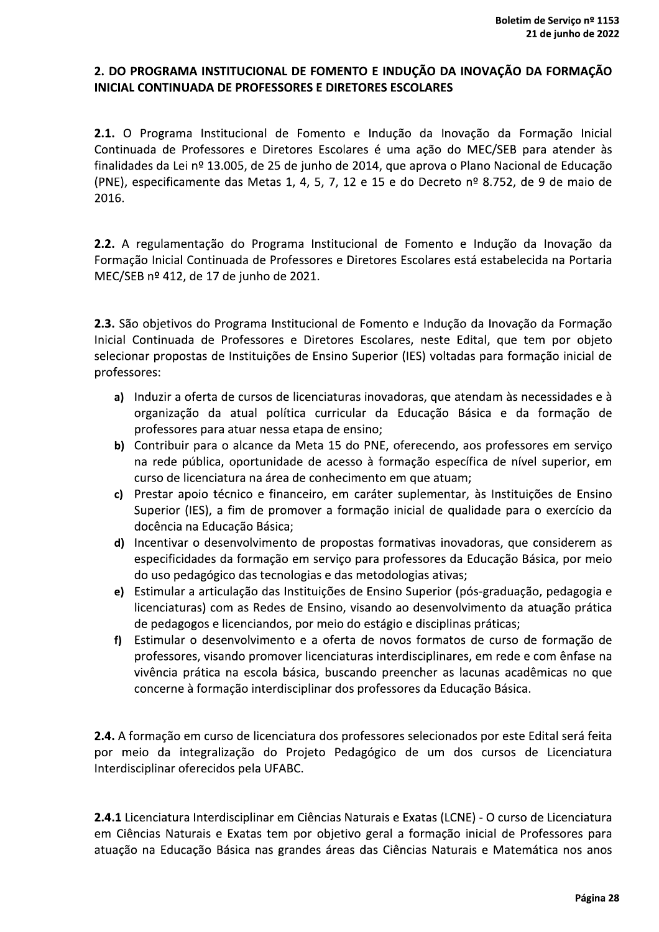## 2. DO PROGRAMA INSTITUCIONAL DE FOMENTO E INDUÇÃO DA INOVAÇÃO DA FORMAÇÃO **INICIAL CONTINUADA DE PROFESSORES E DIRETORES ESCOLARES**

2.1. O Programa Institucional de Fomento e Indução da Inovação da Formação Inicial Continuada de Professores e Diretores Escolares é uma ação do MEC/SEB para atender às finalidades da Lei nº 13.005, de 25 de junho de 2014, que aprova o Plano Nacional de Educação (PNE), especificamente das Metas 1, 4, 5, 7, 12 e 15 e do Decreto nº 8.752, de 9 de maio de 2016.

2.2. A regulamentação do Programa Institucional de Fomento e Indução da Inovação da Formação Inicial Continuada de Professores e Diretores Escolares está estabelecida na Portaria MEC/SEB nº 412, de 17 de junho de 2021.

2.3. São objetivos do Programa Institucional de Fomento e Indução da Inovação da Formação Inicial Continuada de Professores e Diretores Escolares, neste Edital, que tem por objeto selecionar propostas de Instituições de Ensino Superior (IES) voltadas para formação inicial de professores:

- a) Induzir a oferta de cursos de licenciaturas inovadoras, que atendam às necessidades e à organização da atual política curricular da Educação Básica e da formação de professores para atuar nessa etapa de ensino;
- b) Contribuir para o alcance da Meta 15 do PNE, oferecendo, aos professores em serviço na rede pública, oportunidade de acesso à formação específica de nível superior, em curso de licenciatura na área de conhecimento em que atuam;
- c) Prestar apoio técnico e financeiro, em caráter suplementar, às Instituições de Ensino Superior (IES), a fim de promover a formação inicial de qualidade para o exercício da docência na Educação Básica;
- d) Incentivar o desenvolvimento de propostas formativas inovadoras, que considerem as especificidades da formação em serviço para professores da Educação Básica, por meio do uso pedagógico das tecnologias e das metodologias ativas;
- e) Estimular a articulação das Instituições de Ensino Superior (pós-graduação, pedagogia e licenciaturas) com as Redes de Ensino, visando ao desenvolvimento da atuação prática de pedagogos e licenciandos, por meio do estágio e disciplinas práticas;
- f) Estimular o desenvolvimento e a oferta de novos formatos de curso de formação de professores, visando promover licenciaturas interdisciplinares, em rede e com ênfase na vivência prática na escola básica, buscando preencher as lacunas acadêmicas no que concerne à formação interdisciplinar dos professores da Educação Básica.

2.4. A formação em curso de licenciatura dos professores selecionados por este Edital será feita por meio da integralização do Projeto Pedagógico de um dos cursos de Licenciatura Interdisciplinar oferecidos pela UFABC.

2.4.1 Licenciatura Interdisciplinar em Ciências Naturais e Exatas (LCNE) - O curso de Licenciatura em Ciências Naturais e Exatas tem por objetivo geral a formação inicial de Professores para atuação na Educação Básica nas grandes áreas das Ciências Naturais e Matemática nos anos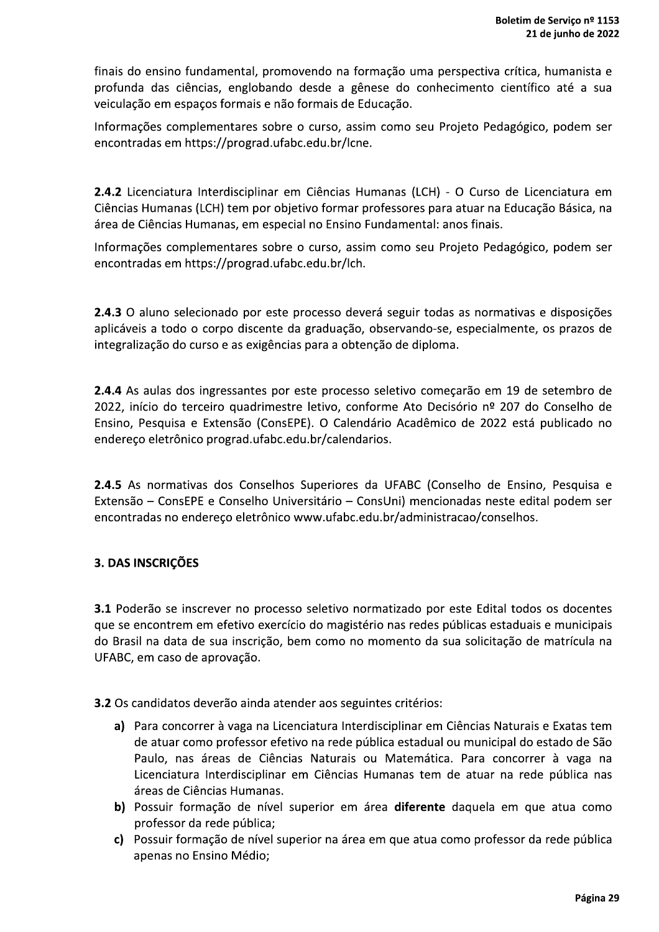finais do ensino fundamental, promovendo na formação uma perspectiva crítica, humanista e profunda das ciências, englobando desde a gênese do conhecimento científico até a sua veiculação em espaços formais e não formais de Educação.

Informações complementares sobre o curso, assim como seu Projeto Pedagógico, podem ser encontradas em https://prograd.ufabc.edu.br/lcne.

2.4.2 Licenciatura Interdisciplinar em Ciências Humanas (LCH) - O Curso de Licenciatura em Ciências Humanas (LCH) tem por objetivo formar professores para atuar na Educação Básica, na área de Ciências Humanas, em especial no Ensino Fundamental: anos finais.

Informações complementares sobre o curso, assim como seu Projeto Pedagógico, podem ser encontradas em https://prograd.ufabc.edu.br/lch.

2.4.3 O aluno selecionado por este processo deverá seguir todas as normativas e disposições aplicáveis a todo o corpo discente da graduação, observando-se, especialmente, os prazos de integralização do curso e as exigências para a obtenção de diploma.

2.4.4 As aulas dos ingressantes por este processo seletivo começarão em 19 de setembro de 2022, início do terceiro quadrimestre letivo, conforme Ato Decisório nº 207 do Conselho de Ensino, Pesquisa e Extensão (ConsEPE). O Calendário Acadêmico de 2022 está publicado no endereço eletrônico prograd.ufabc.edu.br/calendarios.

2.4.5 As normativas dos Conselhos Superiores da UFABC (Conselho de Ensino, Pesquisa e Extensão - ConsEPE e Conselho Universitário - ConsUni) mencionadas neste edital podem ser encontradas no endereço eletrônico www.ufabc.edu.br/administracao/conselhos.

## 3. DAS INSCRIÇÕES

3.1 Poderão se inscrever no processo seletivo normatizado por este Edital todos os docentes que se encontrem em efetivo exercício do magistério nas redes públicas estaduais e municipais do Brasil na data de sua inscrição, bem como no momento da sua solicitação de matrícula na UFABC, em caso de aprovação.

3.2 Os candidatos deverão ainda atender aos seguintes critérios:

- a) Para concorrer à vaga na Licenciatura Interdisciplinar em Ciências Naturais e Exatas tem de atuar como professor efetivo na rede pública estadual ou municipal do estado de São Paulo, nas áreas de Ciências Naturais ou Matemática. Para concorrer à vaga na Licenciatura Interdisciplinar em Ciências Humanas tem de atuar na rede pública nas áreas de Ciências Humanas.
- b) Possuir formação de nível superior em área diferente daquela em que atua como professor da rede pública;
- c) Possuir formação de nível superior na área em que atua como professor da rede pública apenas no Ensino Médio;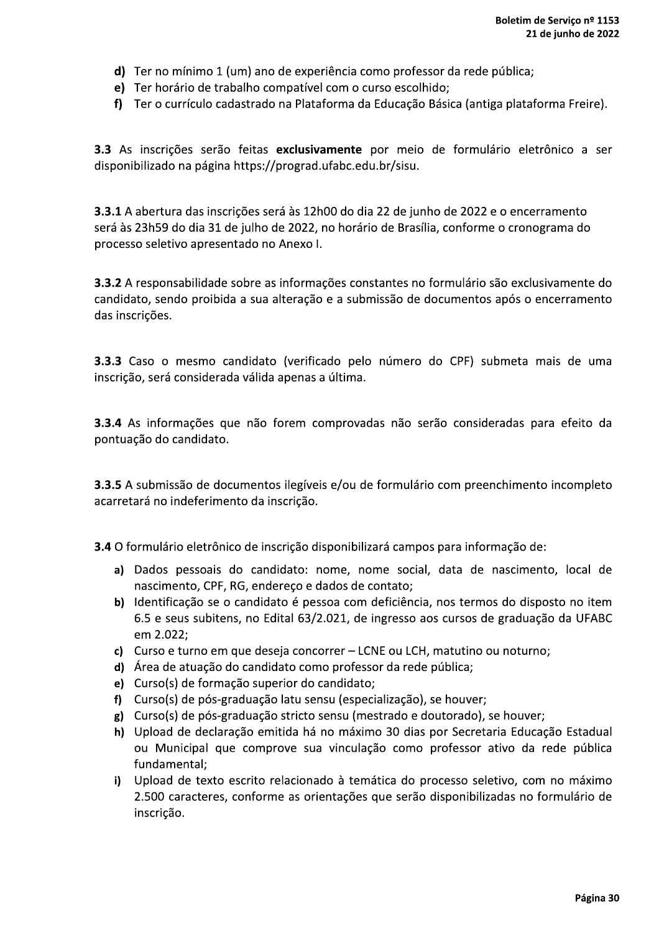- d) Ter no mínimo 1 (um) ano de experiência como professor da rede pública;
- e) Ter horário de trabalho compatível com o curso escolhido;
- f) Ter o currículo cadastrado na Plataforma da Educação Básica (antiga plataforma Freire).

3.3 As inscrições serão feitas exclusivamente por meio de formulário eletrônico a ser disponibilizado na página https://prograd.ufabc.edu.br/sisu.

3.3.1 A abertura das inscrições será às 12h00 do dia 22 de junho de 2022 e o encerramento será às 23h59 do dia 31 de julho de 2022, no horário de Brasília, conforme o cronograma do processo seletivo apresentado no Anexo I.

3.3.2 A responsabilidade sobre as informações constantes no formulário são exclusivamente do candidato, sendo proibida a sua alteração e a submissão de documentos após o encerramento das inscrições.

3.3.3 Caso o mesmo candidato (verificado pelo número do CPF) submeta mais de uma inscrição, será considerada válida apenas a última.

3.3.4 As informações que não forem comprovadas não serão consideradas para efeito da pontuação do candidato.

3.3.5 A submissão de documentos ilegíveis e/ou de formulário com preenchimento incompleto acarretará no indeferimento da inscrição.

3.4 O formulário eletrônico de inscrição disponibilizará campos para informação de:

- a) Dados pessoais do candidato: nome, nome social, data de nascimento, local de nascimento, CPF, RG, endereço e dados de contato;
- b) Identificação se o candidato é pessoa com deficiência, nos termos do disposto no item 6.5 e seus subitens, no Edital 63/2.021, de ingresso aos cursos de graduação da UFABC em 2.022;
- c) Curso e turno em que deseja concorrer LCNE ou LCH, matutino ou noturno;
- d) Área de atuação do candidato como professor da rede pública;
- e) Curso(s) de formação superior do candidato;
- f) Curso(s) de pós-graduação latu sensu (especialização), se houver;
- $g$ ) Curso(s) de pós-graduação stricto sensu (mestrado e doutorado), se houver;
- h) Upload de declaração emitida há no máximo 30 dias por Secretaria Educação Estadual ou Municipal que comprove sua vinculação como professor ativo da rede pública fundamental;
- i) Upload de texto escrito relacionado à temática do processo seletivo, com no máximo 2.500 caracteres, conforme as orientações que serão disponibilizadas no formulário de inscrição.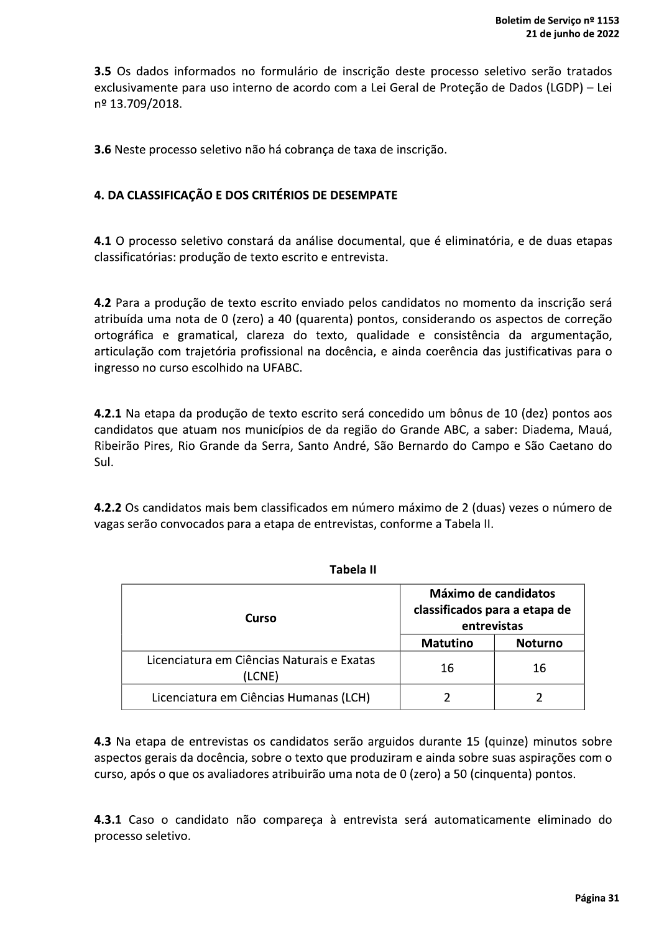3.5 Os dados informados no formulário de inscrição deste processo seletivo serão tratados exclusivamente para uso interno de acordo com a Lei Geral de Proteção de Dados (LGDP) - Lei nº 13.709/2018.

3.6 Neste processo seletivo não há cobrança de taxa de inscrição.

## 4. DA CLASSIFICAÇÃO E DOS CRITÉRIOS DE DESEMPATE

4.1 O processo seletivo constará da análise documental, que é eliminatória, e de duas etapas classificatórias: produção de texto escrito e entrevista.

4.2 Para a produção de texto escrito enviado pelos candidatos no momento da inscrição será atribuída uma nota de 0 (zero) a 40 (quarenta) pontos, considerando os aspectos de correção ortográfica e gramatical, clareza do texto, qualidade e consistência da argumentação, articulação com trajetória profissional na docência, e ainda coerência das justificativas para o ingresso no curso escolhido na UFABC.

4.2.1 Na etapa da produção de texto escrito será concedido um bônus de 10 (dez) pontos aos candidatos que atuam nos municípios de da região do Grande ABC, a saber: Diadema, Mauá, Ribeirão Pires, Rio Grande da Serra, Santo André, São Bernardo do Campo e São Caetano do Sul.

4.2.2 Os candidatos mais bem classificados em número máximo de 2 (duas) vezes o número de vagas serão convocados para a etapa de entrevistas, conforme a Tabela II.

| Curso                                                | Máximo de candidatos<br>classificados para a etapa de<br>entrevistas |                |
|------------------------------------------------------|----------------------------------------------------------------------|----------------|
|                                                      | <b>Matutino</b>                                                      | <b>Noturno</b> |
| Licenciatura em Ciências Naturais e Exatas<br>(LCNE) | 16                                                                   | 16             |
| Licenciatura em Ciências Humanas (LCH)               |                                                                      |                |

**Tabela II** 

4.3 Na etapa de entrevistas os candidatos serão arguidos durante 15 (quinze) minutos sobre aspectos gerais da docência, sobre o texto que produziram e ainda sobre suas aspirações com o curso, após o que os avaliadores atribuirão uma nota de 0 (zero) a 50 (cinquenta) pontos.

4.3.1 Caso o candidato não compareça à entrevista será automaticamente eliminado do processo seletivo.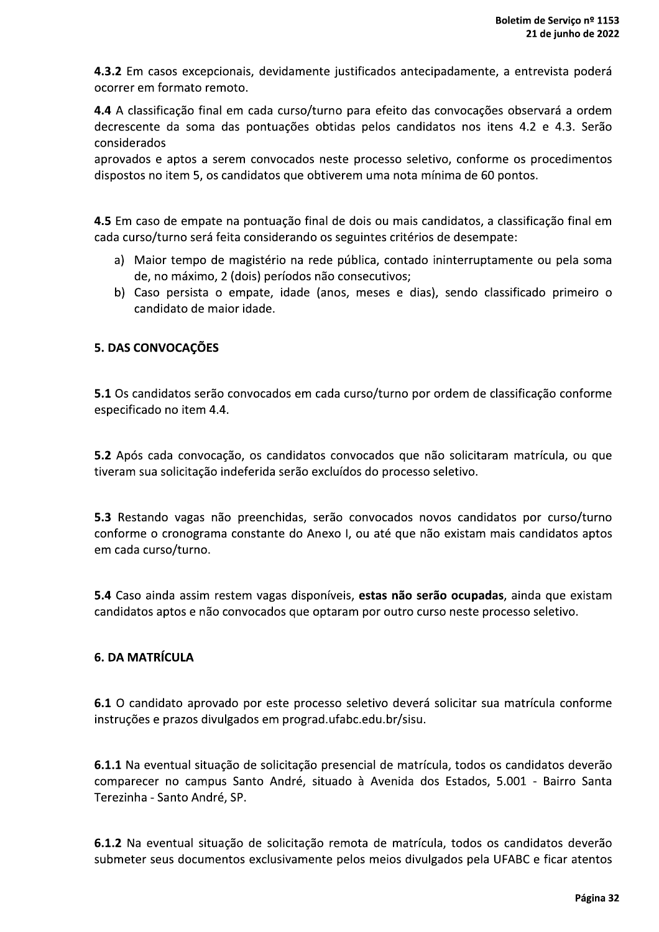4.3.2 Em casos excepcionais, devidamente justificados antecipadamente, a entrevista poderá ocorrer em formato remoto.

4.4 A classificação final em cada curso/turno para efeito das convocações observará a ordem decrescente da soma das pontuações obtidas pelos candidatos nos itens 4.2 e 4.3. Serão considerados

aprovados e aptos a serem convocados neste processo seletivo, conforme os procedimentos dispostos no item 5, os candidatos que obtiverem uma nota mínima de 60 pontos.

4.5 Em caso de empate na pontuação final de dois ou mais candidatos, a classificação final em cada curso/turno será feita considerando os seguintes critérios de desempate:

- a) Maior tempo de magistério na rede pública, contado ininterruptamente ou pela soma de, no máximo, 2 (dois) períodos não consecutivos;
- b) Caso persista o empate, idade (anos, meses e dias), sendo classificado primeiro o candidato de maior idade.

## **5. DAS CONVOCAÇÕES**

5.1 Os candidatos serão convocados em cada curso/turno por ordem de classificação conforme especificado no item 4.4.

5.2 Após cada convocação, os candidatos convocados que não solicitaram matrícula, ou que tiveram sua solicitação indeferida serão excluídos do processo seletivo.

5.3 Restando vagas não preenchidas, serão convocados novos candidatos por curso/turno conforme o cronograma constante do Anexo I, ou até que não existam mais candidatos aptos em cada curso/turno.

5.4 Caso ainda assim restem vagas disponíveis, estas não serão ocupadas, ainda que existam candidatos aptos e não convocados que optaram por outro curso neste processo seletivo.

### **6. DA MATRÍCULA**

6.1 O candidato aprovado por este processo seletivo deverá solicitar sua matrícula conforme instruções e prazos divulgados em prograd.ufabc.edu.br/sisu.

6.1.1 Na eventual situação de solicitação presencial de matrícula, todos os candidatos deverão comparecer no campus Santo André, situado à Avenida dos Estados, 5.001 - Bairro Santa Terezinha - Santo André, SP.

6.1.2 Na eventual situação de solicitação remota de matrícula, todos os candidatos deverão submeter seus documentos exclusivamente pelos meios divulgados pela UFABC e ficar atentos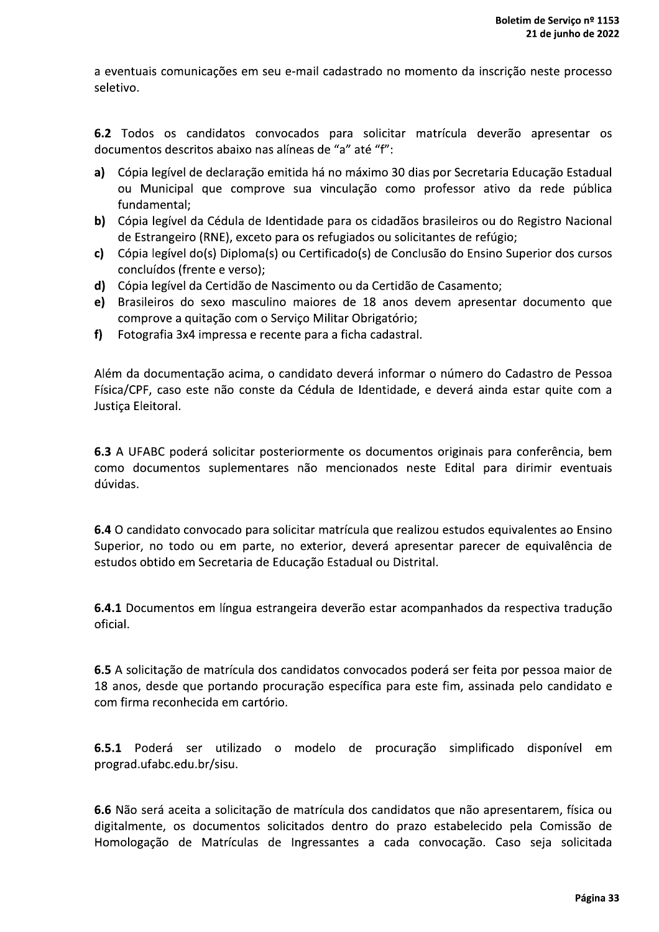a eventuais comunicações em seu e-mail cadastrado no momento da inscrição neste processo seletivo.

6.2 Todos os candidatos convocados para solicitar matrícula deverão apresentar os documentos descritos abaixo nas alíneas de "a" até "f":

- a) Cópia legível de declaração emitida há no máximo 30 dias por Secretaria Educação Estadual ou Municipal que comprove sua vinculação como professor ativo da rede pública fundamental:
- b) Cópia legível da Cédula de Identidade para os cidadãos brasileiros ou do Registro Nacional de Estrangeiro (RNE), exceto para os refugiados ou solicitantes de refúgio;
- c) Cópia legível do(s) Diploma(s) ou Certificado(s) de Conclusão do Ensino Superior dos cursos concluídos (frente e verso);
- d) Cópia legível da Certidão de Nascimento ou da Certidão de Casamento:
- e) Brasileiros do sexo masculino maiores de 18 anos devem apresentar documento que comprove a quitação com o Serviço Militar Obrigatório;
- Fotografia 3x4 impressa e recente para a ficha cadastral.  $f$

Além da documentação acima, o candidato deverá informar o número do Cadastro de Pessoa Física/CPF, caso este não conste da Cédula de Identidade, e deverá ainda estar quite com a Justica Eleitoral.

6.3 A UFABC poderá solicitar posteriormente os documentos originais para conferência, bem como documentos suplementares não mencionados neste Edital para dirimir eventuais dúvidas.

6.4 O candidato convocado para solicitar matrícula que realizou estudos equivalentes ao Ensino Superior, no todo ou em parte, no exterior, deverá apresentar parecer de equivalência de estudos obtido em Secretaria de Educação Estadual ou Distrital.

6.4.1 Documentos em língua estrangeira deverão estar acompanhados da respectiva tradução oficial.

6.5 A solicitação de matrícula dos candidatos convocados poderá ser feita por pessoa maior de 18 anos, desde que portando procuração específica para este fim, assinada pelo candidato e com firma reconhecida em cartório.

6.5.1 Poderá ser utilizado o modelo de procuração simplificado disponível em prograd.ufabc.edu.br/sisu.

6.6 Não será aceita a solicitação de matrícula dos candidatos que não apresentarem, física ou digitalmente, os documentos solicitados dentro do prazo estabelecido pela Comissão de Homologação de Matrículas de Ingressantes a cada convocação. Caso seja solicitada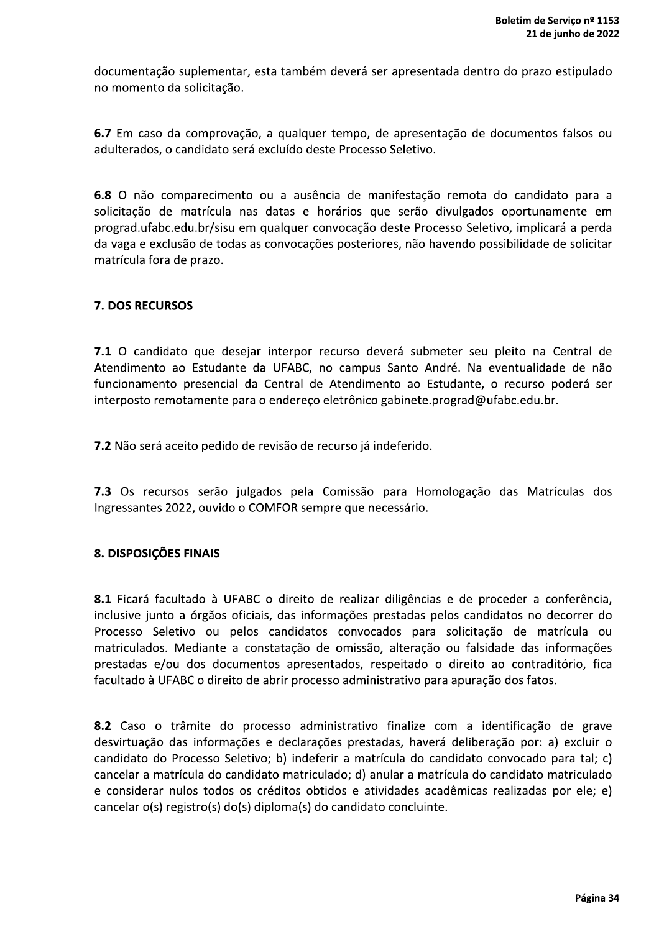documentação suplementar, esta também deverá ser apresentada dentro do prazo estipulado no momento da solicitação.

6.7 Em caso da comprovação, a qualquer tempo, de apresentação de documentos falsos ou adulterados, o candidato será excluído deste Processo Seletivo.

6.8 O não comparecimento ou a ausência de manifestação remota do candidato para a solicitação de matrícula nas datas e horários que serão divulgados oportunamente em prograd.ufabc.edu.br/sisu em qualquer convocação deste Processo Seletivo, implicará a perda da vaga e exclusão de todas as convocações posteriores, não havendo possibilidade de solicitar matrícula fora de prazo.

### **7. DOS RECURSOS**

7.1 O candidato que desejar interpor recurso deverá submeter seu pleito na Central de Atendimento ao Estudante da UFABC, no campus Santo André. Na eventualidade de não funcionamento presencial da Central de Atendimento ao Estudante, o recurso poderá ser interposto remotamente para o endereço eletrônico gabinete.prograd@ufabc.edu.br.

7.2 Não será aceito pedido de revisão de recurso já indeferido.

7.3 Os recursos serão julgados pela Comissão para Homologação das Matrículas dos Ingressantes 2022, ouvido o COMFOR sempre que necessário.

## 8. DISPOSIÇÕES FINAIS

8.1 Ficará facultado à UFABC o direito de realizar diligências e de proceder a conferência, inclusive junto a órgãos oficiais, das informações prestadas pelos candidatos no decorrer do Processo Seletivo ou pelos candidatos convocados para solicitação de matrícula ou matriculados. Mediante a constatação de omissão, alteração ou falsidade das informações prestadas e/ou dos documentos apresentados, respeitado o direito ao contraditório, fica facultado à UFABC o direito de abrir processo administrativo para apuração dos fatos.

8.2 Caso o trâmite do processo administrativo finalize com a identificação de grave desvirtuação das informações e declarações prestadas, haverá deliberação por: a) excluir o candidato do Processo Seletivo; b) indeferir a matrícula do candidato convocado para tal; c) cancelar a matrícula do candidato matriculado; d) anular a matrícula do candidato matriculado e considerar nulos todos os créditos obtidos e atividades acadêmicas realizadas por ele; e) cancelar o(s) registro(s) do(s) diploma(s) do candidato concluinte.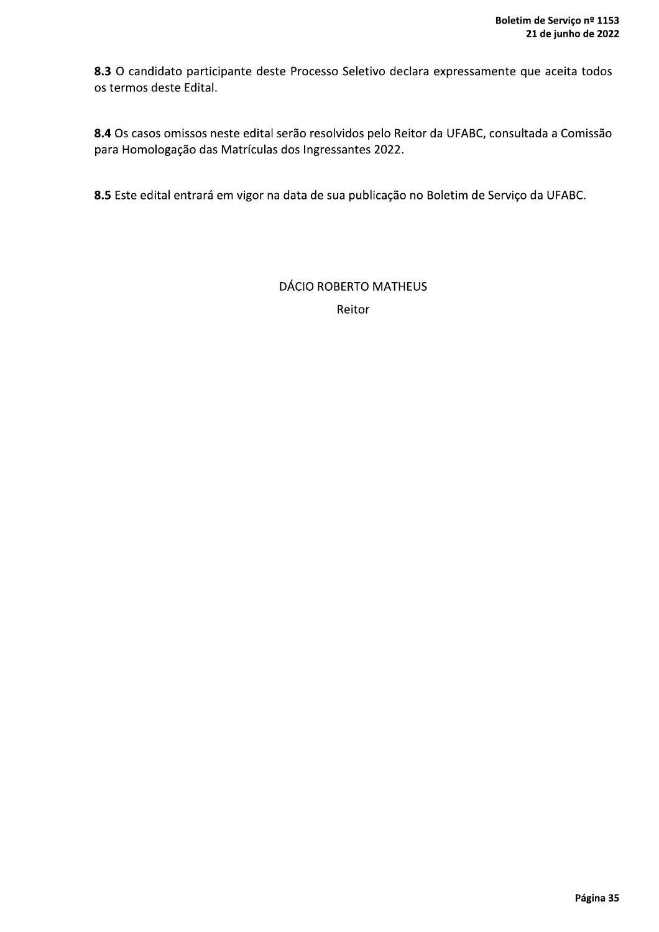8.3 O candidato participante deste Processo Seletivo declara expressamente que aceita todos os termos deste Edital.

8.4 Os casos omissos neste edital serão resolvidos pelo Reitor da UFABC, consultada a Comissão para Homologação das Matrículas dos Ingressantes 2022.

8.5 Este edital entrará em vigor na data de sua publicação no Boletim de Serviço da UFABC.

**DÁCIO ROBERTO MATHEUS** Reitor